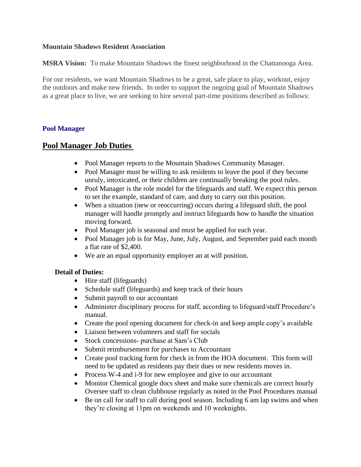## **Mountain Shadows Resident Association**

**MSRA Vision:** To make Mountain Shadows the finest neighborhood in the Chattanooga Area.

For our residents, we want Mountain Shadows to be a great, safe place to play, workout, enjoy the outdoors and make new friends. In order to support the ongoing goal of Mountain Shadows as a great place to live, we are seeking to hire several part-time positions described as follows:

## **Pool Manager**

## **Pool Manager Job Duties**

- Pool Manager reports to the Mountain Shadows Community Manager.
- Pool Manager must be willing to ask residents to leave the pool if they become unruly, intoxicated, or their children are continually breaking the pool rules.
- Pool Manager is the role model for the lifeguards and staff. We expect this person to set the example, standard of care, and duty to carry out this position.
- When a situation (new or reoccurring) occurs during a lifeguard shift, the pool manager will handle promptly and instruct lifeguards how to handle the situation moving forward.
- Pool Manager job is seasonal and must be applied for each year.
- Pool Manager job is for May, June, July, August, and September paid each month a flat rate of \$2,400.
- We are an equal opportunity employer an at will position.

## **Detail of Duties:**

- Hire staff (lifeguards)
- Schedule staff (lifeguards) and keep track of their hours
- Submit payroll to our accountant
- Administer disciplinary process for staff, according to lifeguard/staff Procedure's manual.
- Create the pool opening document for check-in and keep ample copy's available
- Liaison between volunteers and staff for socials
- Stock concessions- purchase at Sam's Club
- Submit reimbursement for purchases to Accountant
- Create pool tracking form for check in from the HOA document. This form will need to be updated as residents pay their dues or new residents moves in.
- Process W-4 and i-9 for new employee and give to our accountant
- Monitor Chemical google docs sheet and make sure chemicals are correct hourly Oversee staff to clean clubhouse regularly as noted in the Pool Procedures manual
- Be on call for staff to call during pool season. Including 6 am lap swims and when they're closing at 11pm on weekends and 10 weeknights.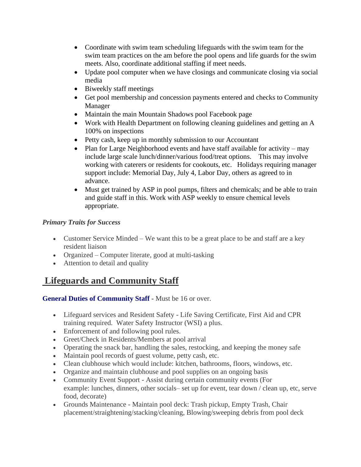- Coordinate with swim team scheduling lifeguards with the swim team for the swim team practices on the am before the pool opens and life guards for the swim meets. Also, coordinate additional staffing if meet needs.
- Update pool computer when we have closings and communicate closing via social media
- Biweekly staff meetings
- Get pool membership and concession payments entered and checks to Community Manager
- Maintain the main Mountain Shadows pool Facebook page
- Work with Health Department on following cleaning guidelines and getting an A 100% on inspections
- Petty cash, keep up in monthly submission to our Accountant
- Plan for Large Neighborhood events and have staff available for activity may include large scale lunch/dinner/various food/treat options. This may involve working with caterers or residents for cookouts, etc. Holidays requiring manager support include: Memorial Day, July 4, Labor Day, others as agreed to in advance.
- Must get trained by ASP in pool pumps, filters and chemicals; and be able to train and guide staff in this. Work with ASP weekly to ensure chemical levels appropriate.

## *Primary Traits for Success*

- Customer Service Minded We want this to be a great place to be and staff are a key resident liaison
- Organized Computer literate, good at multi-tasking
- Attention to detail and quality

# **Lifeguards and Community Staff**

**General Duties of Community Staff -** Must be 16 or over.

- Lifeguard services and Resident Safety Life Saving Certificate, First Aid and CPR training required. Water Safety Instructor (WSI) a plus.
- Enforcement of and following pool rules.
- Greet/Check in Residents/Members at pool arrival
- Operating the snack bar, handling the sales, restocking, and keeping the money safe
- Maintain pool records of guest volume, petty cash, etc.
- Clean clubhouse which would include: kitchen, bathrooms, floors, windows, etc.
- Organize and maintain clubhouse and pool supplies on an ongoing basis
- Community Event Support Assist during certain community events (For example: lunches, dinners, other socials– set up for event, tear down / clean up, etc, serve food, decorate)
- Grounds Maintenance Maintain pool deck: Trash pickup, Empty Trash, Chair placement/straightening/stacking/cleaning, Blowing/sweeping debris from pool deck